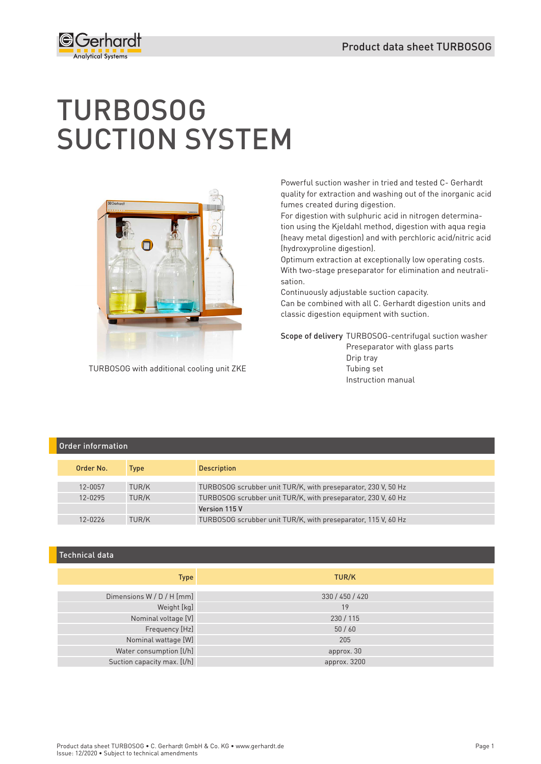

# TURBOSOG SUCTION SYSTEM



TURBOSOG with additional cooling unit ZKE

Powerful suction washer in tried and tested C- Gerhardt quality for extraction and washing out of the inorganic acid fumes created during digestion.

For digestion with sulphuric acid in nitrogen determination using the Kjeldahl method, digestion with aqua regia (heavy metal digestion) and with perchloric acid/nitric acid (hydroxyproline digestion).

Optimum extraction at exceptionally low operating costs. With two-stage preseparator for elimination and neutralisation.

Continuously adjustable suction capacity.

Can be combined with all C. Gerhardt digestion units and classic digestion equipment with suction.

Scope of delivery TURBOSOG-centrifugal suction washer Preseparator with glass parts

 Drip tray Tubing set Instruction manual

# Order information Order No. Type Description 12-0057 TUR/K TURBOSOG scrubber unit TUR/K, with preseparator, 230 V, 50 Hz 12-0295 TUR/K TURBOSOG scrubber unit TUR/K, with preseparator, 230 V, 60 Hz Version 115 V 12-0226 TUR/K TURBOSOG scrubber unit TUR/K, with preseparator, 115 V, 60 Hz

#### Technical data

| <b>Type</b>                 | TUR/K           |
|-----------------------------|-----------------|
|                             |                 |
| Dimensions W / D / H [mm]   | 330 / 450 / 420 |
| Weight [kg]                 | 19              |
| Nominal voltage [V]         | 230/115         |
| Frequency [Hz]              | 50/60           |
| Nominal wattage [W]         | 205             |
| Water consumption [l/h]     | approx. 30      |
| Suction capacity max. [I/h] | approx. 3200    |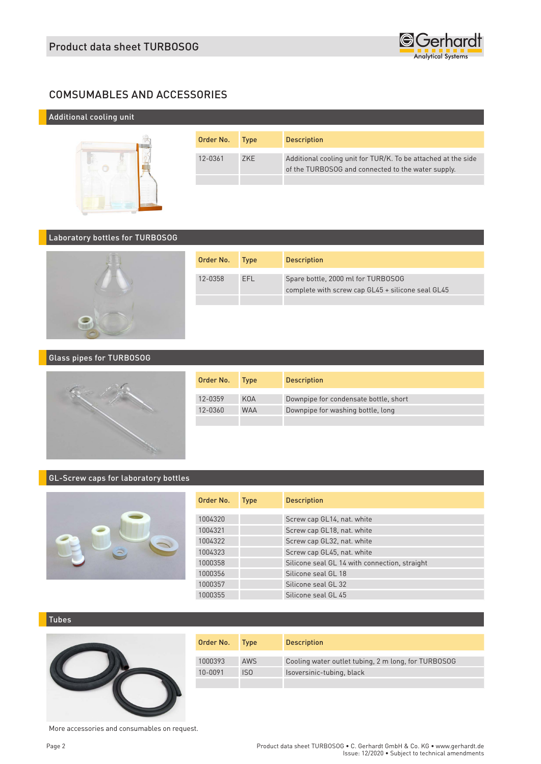

# COMSUMABLES AND ACCESSORIES

# Additional cooling unit



| Order No. | <b>Type</b> | <b>Description</b>                                                                                                  |
|-----------|-------------|---------------------------------------------------------------------------------------------------------------------|
| 12-0361   | 7KF         | Additional cooling unit for TUR/K. To be attached at the side<br>of the TURBOSOG and connected to the water supply. |
|           |             |                                                                                                                     |

#### Laboratory bottles for TURBOSOG



| Order No. | <b>Type</b> | <b>Description</b>                                                                      |
|-----------|-------------|-----------------------------------------------------------------------------------------|
| 12-0358   | FFI.        | Spare bottle, 2000 ml for TURBOSOG<br>complete with screw cap GL45 + silicone seal GL45 |
|           |             |                                                                                         |

#### Glass pipes for TURBOSOG



| Order No. | <b>Type</b> | <b>Description</b>                    |
|-----------|-------------|---------------------------------------|
| 12-0359   | KOA         | Downpipe for condensate bottle, short |
| 12-0360   | <b>WAA</b>  | Downpipe for washing bottle, long     |
|           |             |                                       |

# GL-Screw caps for laboratory bottles



| Order No. | <b>Type</b> | <b>Description</b>                            |
|-----------|-------------|-----------------------------------------------|
| 1004320   |             | Screw cap GL14, nat. white                    |
|           |             |                                               |
| 1004321   |             | Screw cap GL18, nat. white                    |
| 1004322   |             | Screw cap GL32, nat. white                    |
| 1004323   |             | Screw cap GL45, nat. white                    |
| 1000358   |             | Silicone seal GL 14 with connection, straight |
| 1000356   |             | Silicone seal GL 18                           |
| 1000357   |             | Silicone seal GL 32                           |
| 1000355   |             | Silicone seal GL 45                           |

#### Tubes



| Order No. | Tvpe            | <b>Description</b>                                  |
|-----------|-----------------|-----------------------------------------------------|
| 1000393   | <b>AWS</b>      | Cooling water outlet tubing, 2 m long, for TURBOSOG |
| 10-0091   | IS <sub>0</sub> | Isoversinic-tubing, black                           |

More accessories and consumables on request.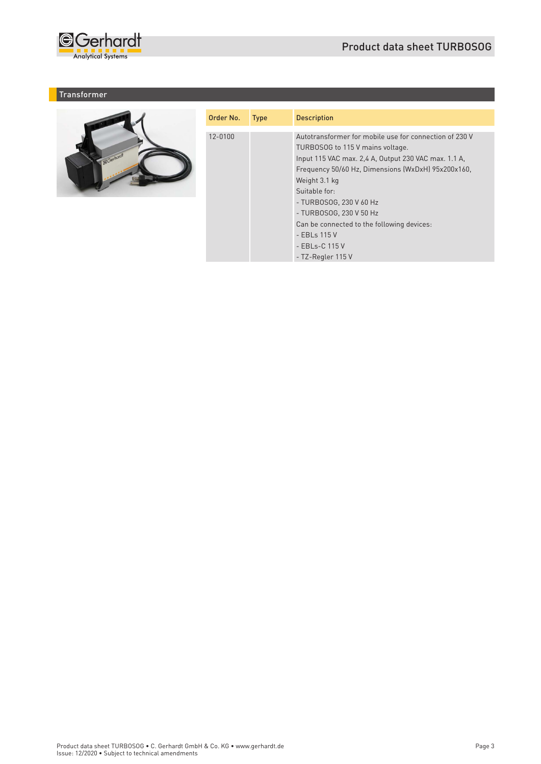

### **Transformer**



| Order No. | <b>Type</b> | <b>Description</b>                                                                                                                                                                                                                                                                                                                                                                                    |
|-----------|-------------|-------------------------------------------------------------------------------------------------------------------------------------------------------------------------------------------------------------------------------------------------------------------------------------------------------------------------------------------------------------------------------------------------------|
| 12-0100   |             | Autotransformer for mobile use for connection of 230 V<br>TURBOSOG to 115 V mains voltage.<br>Input 115 VAC max. 2,4 A, Output 230 VAC max. 1.1 A,<br>Frequency 50/60 Hz, Dimensions (WxDxH) 95x200x160,<br>Weight 3.1 kg<br>Suitable for:<br>- TURBOSOG, 230 V 60 Hz<br>- TURBOSOG, 230 V 50 Hz<br>Can be connected to the following devices:<br>- EBLs 115 V<br>- EBLs-C 115 V<br>- TZ-Regler 115 V |